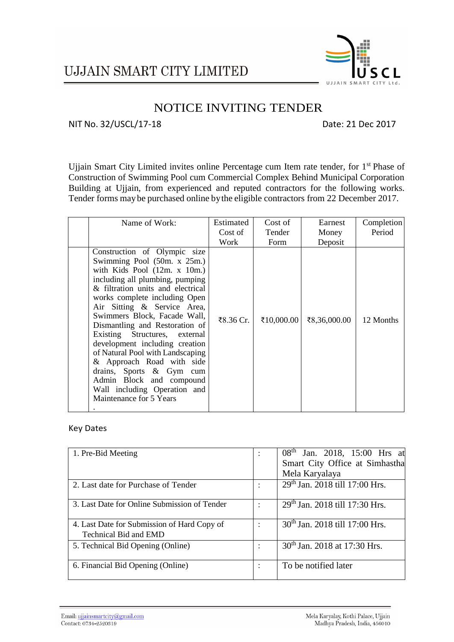

## NOTICE INVITING TENDER

### NIT No. 32/USCL/17-18 Date: 21 Dec 2017

Ujjain Smart City Limited invites online Percentage cum Item rate tender, for 1<sup>st</sup> Phase of Construction of Swimming Pool cum Commercial Complex Behind Municipal Corporation Building at Ujjain, from experienced and reputed contractors for the following works. Tender forms maybe purchased online bythe eligible contractors from 22 December 2017.

| Name of Work:                                                                                                                                                                                                                                                                                                                                                                                                                                                                                                                                                    | Estimated | Cost of    | Earnest      | Completion |
|------------------------------------------------------------------------------------------------------------------------------------------------------------------------------------------------------------------------------------------------------------------------------------------------------------------------------------------------------------------------------------------------------------------------------------------------------------------------------------------------------------------------------------------------------------------|-----------|------------|--------------|------------|
|                                                                                                                                                                                                                                                                                                                                                                                                                                                                                                                                                                  | Cost of   | Tender     | Money        | Period     |
|                                                                                                                                                                                                                                                                                                                                                                                                                                                                                                                                                                  | Work      | Form       | Deposit      |            |
| Construction of Olympic size<br>Swimming Pool $(50m. x 25m.)$<br>with Kids Pool $(12m. x 10m.)$<br>including all plumbing, pumping<br>& filtration units and electrical<br>works complete including Open<br>Air Sitting & Service Area,<br>Swimmers Block, Facade Wall,<br>Dismantling and Restoration of<br>Existing Structures, external<br>development including creation<br>of Natural Pool with Landscaping<br>& Approach Road with side<br>drains, Sports & Gym cum<br>Admin Block and compound<br>Wall including Operation and<br>Maintenance for 5 Years | ₹8.36 Cr. | ₹10,000.00 | ₹8,36,000.00 | 12 Months  |

### Key Dates

| 1. Pre-Bid Meeting                           | $\ddot{\cdot}$ | 08 <sup>th</sup> Jan. 2018, 15:00 Hrs at   |
|----------------------------------------------|----------------|--------------------------------------------|
|                                              |                | Smart City Office at Simhastha             |
|                                              |                | Mela Karyalaya                             |
| 2. Last date for Purchase of Tender          |                | 29 <sup>th</sup> Jan. 2018 till 17:00 Hrs. |
|                                              |                |                                            |
| 3. Last Date for Online Submission of Tender |                | 29th Jan. 2018 till 17:30 Hrs.             |
|                                              |                |                                            |
| 4. Last Date for Submission of Hard Copy of  |                | 30 <sup>th</sup> Jan. 2018 till 17:00 Hrs. |
| <b>Technical Bid and EMD</b>                 |                |                                            |
| 5. Technical Bid Opening (Online)            |                | 30 <sup>th</sup> Jan. 2018 at 17:30 Hrs.   |
|                                              |                |                                            |
| 6. Financial Bid Opening (Online)            | $\cdot$        | To be notified later                       |
|                                              |                |                                            |